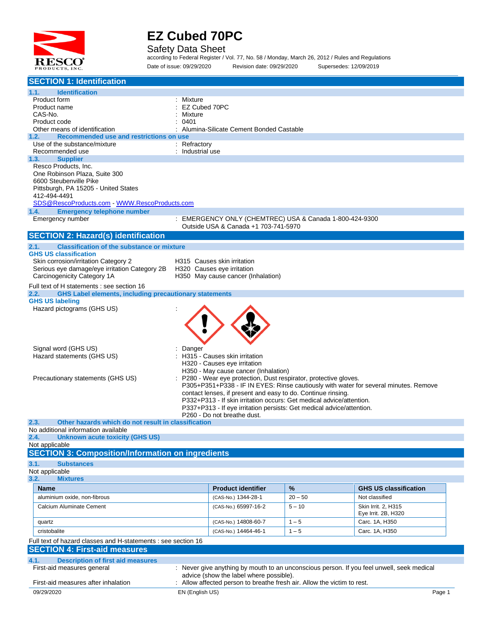

Safety Data Sheet

according to Federal Register / Vol. 77, No. 58 / Monday, March 26, 2012 / Rules and Regulations Date of issue: 09/29/2020 Revision date: 09/29/2020 Supersedes: 12/09/2019

| <b>SECTION 1: Identification</b>                                                                            |                  |                                                                       |           |                                                                                           |
|-------------------------------------------------------------------------------------------------------------|------------------|-----------------------------------------------------------------------|-----------|-------------------------------------------------------------------------------------------|
| <b>Identification</b><br>1.1.                                                                               |                  |                                                                       |           |                                                                                           |
| Product form                                                                                                | Mixture          |                                                                       |           |                                                                                           |
| Product name                                                                                                | EZ Cubed 70PC    |                                                                       |           |                                                                                           |
| CAS-No.<br>Product code                                                                                     | Mixture<br>0401  |                                                                       |           |                                                                                           |
| Other means of identification                                                                               |                  | Alumina-Silicate Cement Bonded Castable                               |           |                                                                                           |
| Recommended use and restrictions on use<br>1.2.                                                             |                  |                                                                       |           |                                                                                           |
| Use of the substance/mixture                                                                                | : Refractory     |                                                                       |           |                                                                                           |
| Recommended use                                                                                             | : Industrial use |                                                                       |           |                                                                                           |
| 1.3.<br><b>Supplier</b><br>Resco Products, Inc.                                                             |                  |                                                                       |           |                                                                                           |
| One Robinson Plaza, Suite 300                                                                               |                  |                                                                       |           |                                                                                           |
| 6600 Steubenville Pike                                                                                      |                  |                                                                       |           |                                                                                           |
| Pittsburgh, PA 15205 - United States                                                                        |                  |                                                                       |           |                                                                                           |
| 412-494-4491                                                                                                |                  |                                                                       |           |                                                                                           |
| <b>Emergency telephone number</b><br>1.4.                                                                   |                  |                                                                       |           |                                                                                           |
| Emergency number                                                                                            |                  | : EMERGENCY ONLY (CHEMTREC) USA & Canada 1-800-424-9300               |           |                                                                                           |
|                                                                                                             |                  | Outside USA & Canada +1 703-741-5970                                  |           |                                                                                           |
| <b>SECTION 2: Hazard(s) identification</b>                                                                  |                  |                                                                       |           |                                                                                           |
| <b>Classification of the substance or mixture</b><br>2.1.                                                   |                  |                                                                       |           |                                                                                           |
| <b>GHS US classification</b>                                                                                |                  |                                                                       |           |                                                                                           |
| Skin corrosion/irritation Category 2                                                                        |                  | H315 Causes skin irritation                                           |           |                                                                                           |
| Serious eye damage/eye irritation Category 2B   H320   Causes eye irritation<br>Carcinogenicity Category 1A |                  | H350 May cause cancer (Inhalation)                                    |           |                                                                                           |
| Full text of H statements : see section 16                                                                  |                  |                                                                       |           |                                                                                           |
| <b>GHS Label elements, including precautionary statements</b><br>2.2.                                       |                  |                                                                       |           |                                                                                           |
| <b>GHS US labeling</b>                                                                                      |                  |                                                                       |           |                                                                                           |
| Hazard pictograms (GHS US)                                                                                  |                  |                                                                       |           |                                                                                           |
|                                                                                                             |                  |                                                                       |           |                                                                                           |
|                                                                                                             |                  |                                                                       |           |                                                                                           |
|                                                                                                             |                  |                                                                       |           |                                                                                           |
| Signal word (GHS US)                                                                                        | Danger           |                                                                       |           |                                                                                           |
| Hazard statements (GHS US)                                                                                  |                  | H315 - Causes skin irritation                                         |           |                                                                                           |
|                                                                                                             |                  | H320 - Causes eye irritation                                          |           |                                                                                           |
|                                                                                                             |                  | H350 - May cause cancer (Inhalation)                                  |           |                                                                                           |
| Precautionary statements (GHS US)                                                                           |                  | : P280 - Wear eye protection, Dust respirator, protective gloves.     |           | P305+P351+P338 - IF IN EYES: Rinse cautiously with water for several minutes. Remove      |
|                                                                                                             |                  | contact lenses, if present and easy to do. Continue rinsing.          |           |                                                                                           |
|                                                                                                             |                  | P332+P313 - If skin irritation occurs: Get medical advice/attention.  |           |                                                                                           |
|                                                                                                             |                  | P337+P313 - If eye irritation persists: Get medical advice/attention. |           |                                                                                           |
| 2.3.<br>Other hazards which do not result in classification                                                 |                  | P260 - Do not breathe dust.                                           |           |                                                                                           |
| No additional information available                                                                         |                  |                                                                       |           |                                                                                           |
| <b>Unknown acute toxicity (GHS US)</b><br>2.4.                                                              |                  |                                                                       |           |                                                                                           |
| Not applicable                                                                                              |                  |                                                                       |           |                                                                                           |
| <b>SECTION 3: Composition/Information on ingredients</b>                                                    |                  |                                                                       |           |                                                                                           |
| 3.1.<br><b>Substances</b>                                                                                   |                  |                                                                       |           |                                                                                           |
| Not applicable                                                                                              |                  |                                                                       |           |                                                                                           |
| 3.2.<br><b>Mixtures</b>                                                                                     |                  |                                                                       |           |                                                                                           |
| Name                                                                                                        |                  | <b>Product identifier</b>                                             | %         | <b>GHS US classification</b>                                                              |
| aluminium oxide, non-fibrous                                                                                |                  | (CAS-No.) 1344-28-1                                                   | $20 - 50$ | Not classified                                                                            |
| Calcium Aluminate Cement                                                                                    |                  | (CAS-No.) 65997-16-2                                                  | $5 - 10$  | Skin Irrit. 2, H315<br>Eye Irrit. 2B, H320                                                |
| quartz                                                                                                      |                  | (CAS-No.) 14808-60-7                                                  | $1 - 5$   | Carc. 1A, H350                                                                            |
| cristobalite                                                                                                |                  | (CAS-No.) 14464-46-1                                                  | $1 - 5$   | Carc. 1A, H350                                                                            |
|                                                                                                             |                  |                                                                       |           |                                                                                           |
| Full text of hazard classes and H-statements : see section 16<br><b>SECTION 4: First-aid measures</b>       |                  |                                                                       |           |                                                                                           |
|                                                                                                             |                  |                                                                       |           |                                                                                           |
| 4.1.<br><b>Description of first aid measures</b><br>First-aid measures general                              |                  |                                                                       |           | : Never give anything by mouth to an unconscious person. If you feel unwell, seek medical |
|                                                                                                             |                  | advice (show the label where possible).                               |           |                                                                                           |
| First-aid measures after inhalation                                                                         |                  | Allow affected person to breathe fresh air. Allow the victim to rest. |           |                                                                                           |
| 09/29/2020                                                                                                  | EN (English US)  |                                                                       |           | Page 1                                                                                    |
|                                                                                                             |                  |                                                                       |           |                                                                                           |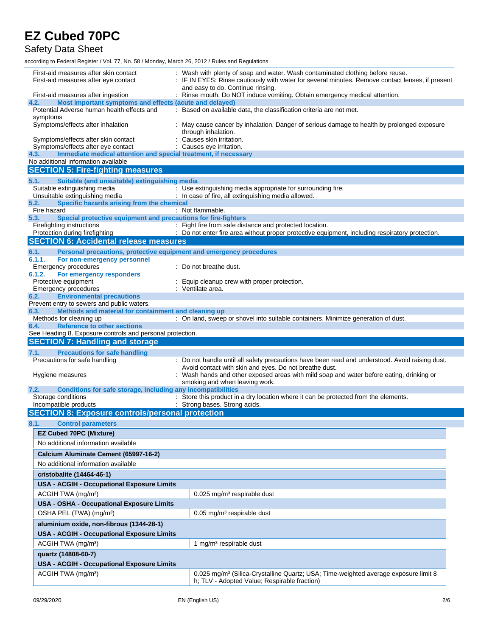Safety Data Sheet

| First-aid measures after skin contact<br>First-aid measures after eye contact                                 | Wash with plenty of soap and water. Wash contaminated clothing before reuse.<br>IF IN EYES: Rinse cautiously with water for several minutes. Remove contact lenses, if present<br>and easy to do. Continue rinsing. |  |  |  |
|---------------------------------------------------------------------------------------------------------------|---------------------------------------------------------------------------------------------------------------------------------------------------------------------------------------------------------------------|--|--|--|
| First-aid measures after ingestion                                                                            | : Rinse mouth. Do NOT induce vomiting. Obtain emergency medical attention.                                                                                                                                          |  |  |  |
| Most important symptoms and effects (acute and delayed)<br>4.2.<br>Potential Adverse human health effects and | : Based on available data, the classification criteria are not met.                                                                                                                                                 |  |  |  |
| symptoms                                                                                                      |                                                                                                                                                                                                                     |  |  |  |
| Symptoms/effects after inhalation                                                                             | May cause cancer by inhalation. Danger of serious damage to health by prolonged exposure<br>through inhalation.                                                                                                     |  |  |  |
| Symptoms/effects after skin contact                                                                           | Causes skin irritation.                                                                                                                                                                                             |  |  |  |
| Symptoms/effects after eye contact                                                                            | : Causes eye irritation.                                                                                                                                                                                            |  |  |  |
| 4.3.<br>Immediate medical attention and special treatment, if necessary                                       |                                                                                                                                                                                                                     |  |  |  |
| No additional information available                                                                           |                                                                                                                                                                                                                     |  |  |  |
| <b>SECTION 5: Fire-fighting measures</b>                                                                      |                                                                                                                                                                                                                     |  |  |  |
| Suitable (and unsuitable) extinguishing media<br>5.1.                                                         |                                                                                                                                                                                                                     |  |  |  |
| Suitable extinguishing media                                                                                  | : Use extinguishing media appropriate for surrounding fire.                                                                                                                                                         |  |  |  |
| Unsuitable extinguishing media                                                                                | : In case of fire, all extinguishing media allowed.                                                                                                                                                                 |  |  |  |
| Specific hazards arising from the chemical<br>5.2.                                                            |                                                                                                                                                                                                                     |  |  |  |
| Fire hazard<br>5.3.                                                                                           | : Not flammable.                                                                                                                                                                                                    |  |  |  |
| Special protective equipment and precautions for fire-fighters<br>Firefighting instructions                   | : Fight fire from safe distance and protected location.                                                                                                                                                             |  |  |  |
| Protection during firefighting                                                                                | : Do not enter fire area without proper protective equipment, including respiratory protection.                                                                                                                     |  |  |  |
| <b>SECTION 6: Accidental release measures</b>                                                                 |                                                                                                                                                                                                                     |  |  |  |
|                                                                                                               |                                                                                                                                                                                                                     |  |  |  |
| 6.1.<br>Personal precautions, protective equipment and emergency procedures                                   |                                                                                                                                                                                                                     |  |  |  |
| 6.1.1.<br>For non-emergency personnel<br><b>Emergency procedures</b>                                          | : Do not breathe dust.                                                                                                                                                                                              |  |  |  |
| 6.1.2.<br>For emergency responders                                                                            |                                                                                                                                                                                                                     |  |  |  |
| Protective equipment                                                                                          | : Equip cleanup crew with proper protection.                                                                                                                                                                        |  |  |  |
| <b>Emergency procedures</b>                                                                                   | : Ventilate area.                                                                                                                                                                                                   |  |  |  |
| <b>Environmental precautions</b><br>6.2.                                                                      |                                                                                                                                                                                                                     |  |  |  |
| Prevent entry to sewers and public waters.                                                                    |                                                                                                                                                                                                                     |  |  |  |
| Methods and material for containment and cleaning up<br>6.3.                                                  |                                                                                                                                                                                                                     |  |  |  |
| Methods for cleaning up                                                                                       | : On land, sweep or shovel into suitable containers. Minimize generation of dust.                                                                                                                                   |  |  |  |
|                                                                                                               |                                                                                                                                                                                                                     |  |  |  |
| <b>Reference to other sections</b><br>6.4.                                                                    |                                                                                                                                                                                                                     |  |  |  |
| See Heading 8. Exposure controls and personal protection.                                                     |                                                                                                                                                                                                                     |  |  |  |
| <b>SECTION 7: Handling and storage</b>                                                                        |                                                                                                                                                                                                                     |  |  |  |
| <b>Precautions for safe handling</b><br>7.1.                                                                  |                                                                                                                                                                                                                     |  |  |  |
| Precautions for safe handling                                                                                 | : Do not handle until all safety precautions have been read and understood. Avoid raising dust.                                                                                                                     |  |  |  |
|                                                                                                               | Avoid contact with skin and eyes. Do not breathe dust.                                                                                                                                                              |  |  |  |
| Hygiene measures                                                                                              | Wash hands and other exposed areas with mild soap and water before eating, drinking or                                                                                                                              |  |  |  |
| 7.2.                                                                                                          | smoking and when leaving work.                                                                                                                                                                                      |  |  |  |
| Conditions for safe storage, including any incompatibilities<br>Storage conditions                            | : Store this product in a dry location where it can be protected from the elements.                                                                                                                                 |  |  |  |
| Incompatible products                                                                                         | : Strong bases. Strong acids.                                                                                                                                                                                       |  |  |  |
| <b>SECTION 8: Exposure controls/personal protection</b>                                                       |                                                                                                                                                                                                                     |  |  |  |
| 8.1.                                                                                                          |                                                                                                                                                                                                                     |  |  |  |
| <b>Control parameters</b>                                                                                     |                                                                                                                                                                                                                     |  |  |  |
| <b>EZ Cubed 70PC (Mixture)</b>                                                                                |                                                                                                                                                                                                                     |  |  |  |
| No additional information available                                                                           |                                                                                                                                                                                                                     |  |  |  |
| Calcium Aluminate Cement (65997-16-2)                                                                         |                                                                                                                                                                                                                     |  |  |  |
| No additional information available                                                                           |                                                                                                                                                                                                                     |  |  |  |
|                                                                                                               |                                                                                                                                                                                                                     |  |  |  |
| cristobalite (14464-46-1)                                                                                     |                                                                                                                                                                                                                     |  |  |  |
| <b>USA - ACGIH - Occupational Exposure Limits</b>                                                             |                                                                                                                                                                                                                     |  |  |  |
| ACGIH TWA (mg/m <sup>3</sup> )                                                                                | 0.025 mg/m <sup>3</sup> respirable dust                                                                                                                                                                             |  |  |  |
| USA - OSHA - Occupational Exposure Limits                                                                     |                                                                                                                                                                                                                     |  |  |  |
| OSHA PEL (TWA) (mg/m <sup>3</sup> )                                                                           | $0.05$ mg/m <sup>3</sup> respirable dust                                                                                                                                                                            |  |  |  |
|                                                                                                               |                                                                                                                                                                                                                     |  |  |  |
| aluminium oxide, non-fibrous (1344-28-1)                                                                      |                                                                                                                                                                                                                     |  |  |  |
| <b>USA - ACGIH - Occupational Exposure Limits</b>                                                             |                                                                                                                                                                                                                     |  |  |  |
| ACGIH TWA (mg/m <sup>3</sup> )                                                                                | 1 mg/m <sup>3</sup> respirable dust                                                                                                                                                                                 |  |  |  |
| quartz (14808-60-7)                                                                                           |                                                                                                                                                                                                                     |  |  |  |
| <b>USA - ACGIH - Occupational Exposure Limits</b>                                                             |                                                                                                                                                                                                                     |  |  |  |
|                                                                                                               |                                                                                                                                                                                                                     |  |  |  |
| ACGIH TWA (mg/m <sup>3</sup> )                                                                                | 0.025 mg/m <sup>3</sup> (Silica-Crystalline Quartz; USA; Time-weighted average exposure limit 8<br>h; TLV - Adopted Value; Respirable fraction)                                                                     |  |  |  |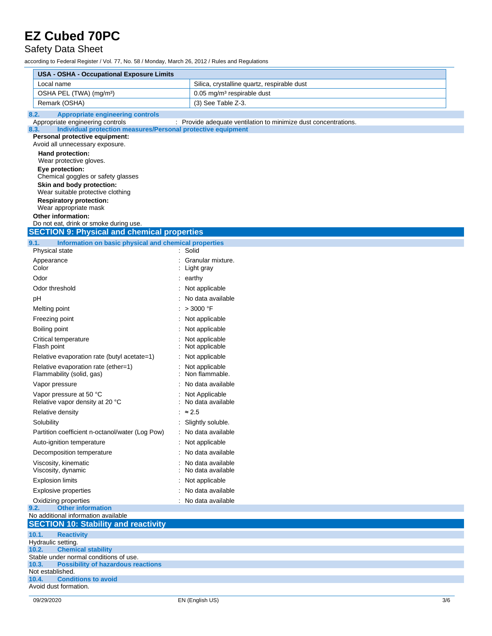Safety Data Sheet

| <b>USA - OSHA - Occupational Exposure Limits</b>                             |                                                                                                                                 |
|------------------------------------------------------------------------------|---------------------------------------------------------------------------------------------------------------------------------|
| Local name                                                                   | Silica, crystalline quartz, respirable dust                                                                                     |
| OSHA PEL (TWA) (mg/m <sup>3</sup> )                                          | 0.05 mg/m <sup>3</sup> respirable dust                                                                                          |
| Remark (OSHA)                                                                | (3) See Table Z-3.                                                                                                              |
| <b>Appropriate engineering controls</b><br>8.2.                              |                                                                                                                                 |
| Appropriate engineering controls<br>8.3.                                     | : Provide adequate ventilation to minimize dust concentrations.<br>Individual protection measures/Personal protective equipment |
| Personal protective equipment:                                               |                                                                                                                                 |
| Avoid all unnecessary exposure.                                              |                                                                                                                                 |
| Hand protection:<br>Wear protective gloves.                                  |                                                                                                                                 |
| Eye protection:                                                              |                                                                                                                                 |
| Chemical goggles or safety glasses<br>Skin and body protection:              |                                                                                                                                 |
| Wear suitable protective clothing                                            |                                                                                                                                 |
| <b>Respiratory protection:</b>                                               |                                                                                                                                 |
| Wear appropriate mask<br><b>Other information:</b>                           |                                                                                                                                 |
| Do not eat, drink or smoke during use.                                       |                                                                                                                                 |
| <b>SECTION 9: Physical and chemical properties</b>                           |                                                                                                                                 |
| 9.1.<br>Information on basic physical and chemical properties                |                                                                                                                                 |
| Physical state                                                               | : Solid                                                                                                                         |
| Appearance<br>Color                                                          | Granular mixture.<br>Light gray                                                                                                 |
| Odor                                                                         | $:$ earthy                                                                                                                      |
| Odor threshold                                                               | : Not applicable                                                                                                                |
| рH                                                                           | : No data available                                                                                                             |
| Melting point                                                                | : $>3000$ °F                                                                                                                    |
| Freezing point                                                               | : Not applicable                                                                                                                |
| Boiling point                                                                | : Not applicable                                                                                                                |
| Critical temperature<br>Flash point                                          | Not applicable<br>Not applicable                                                                                                |
| Relative evaporation rate (butyl acetate=1)                                  | Not applicable                                                                                                                  |
| Relative evaporation rate (ether=1)<br>Flammability (solid, gas)             | Not applicable<br>Non flammable.                                                                                                |
| Vapor pressure                                                               | No data available                                                                                                               |
| Vapor pressure at 50 °C<br>Relative vapor density at 20 °C                   | : Not Applicable<br>No data available                                                                                           |
| Relative density                                                             | : $\approx 2.5$                                                                                                                 |
| Solubility                                                                   | : Slightly soluble.                                                                                                             |
| Partition coefficient n-octanol/water (Log Pow)                              | : No data available                                                                                                             |
| Auto-ignition temperature                                                    | : Not applicable                                                                                                                |
| Decomposition temperature                                                    | No data available                                                                                                               |
| Viscosity, kinematic<br>Viscosity, dynamic                                   | No data available<br>No data available                                                                                          |
| <b>Explosion limits</b>                                                      | Not applicable                                                                                                                  |
| <b>Explosive properties</b>                                                  | : No data available                                                                                                             |
| Oxidizing properties                                                         | : No data available                                                                                                             |
| <b>Other information</b><br>9.2.<br>No additional information available      |                                                                                                                                 |
| <b>SECTION 10: Stability and reactivity</b>                                  |                                                                                                                                 |
| 10.1.<br><b>Reactivity</b>                                                   |                                                                                                                                 |
| Hydraulic setting.                                                           |                                                                                                                                 |
| <b>Chemical stability</b><br>10.2.<br>Stable under normal conditions of use. |                                                                                                                                 |
| 10.3.<br><b>Possibility of hazardous reactions</b>                           |                                                                                                                                 |
| Not established.<br><b>Conditions to avoid</b><br>10.4.                      |                                                                                                                                 |
| Avoid dust formation.                                                        |                                                                                                                                 |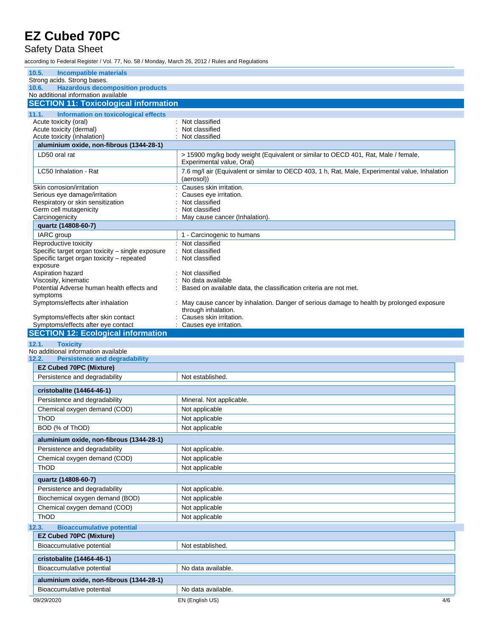### Safety Data Sheet

| 10.5.<br><b>Incompatible materials</b>                                                        |                                                                                                                   |
|-----------------------------------------------------------------------------------------------|-------------------------------------------------------------------------------------------------------------------|
| Strong acids. Strong bases.                                                                   |                                                                                                                   |
| <b>Hazardous decomposition products</b><br>10.6.<br>No additional information available       |                                                                                                                   |
| <b>SECTION 11: Toxicological information</b>                                                  |                                                                                                                   |
| 11.1.<br>Information on toxicological effects                                                 |                                                                                                                   |
| Acute toxicity (oral)                                                                         | Not classified                                                                                                    |
| Acute toxicity (dermal)                                                                       | Not classified                                                                                                    |
| Acute toxicity (inhalation)                                                                   | Not classified                                                                                                    |
| aluminium oxide, non-fibrous (1344-28-1)                                                      |                                                                                                                   |
| LD50 oral rat                                                                                 | > 15900 mg/kg body weight (Equivalent or similar to OECD 401, Rat, Male / female,<br>Experimental value, Oral)    |
| LC50 Inhalation - Rat                                                                         | 7.6 mg/l air (Equivalent or similar to OECD 403, 1 h, Rat, Male, Experimental value, Inhalation<br>(aerosol))     |
| Skin corrosion/irritation                                                                     | Causes skin irritation.                                                                                           |
| Serious eye damage/irritation                                                                 | Causes eye irritation.                                                                                            |
| Respiratory or skin sensitization<br>Germ cell mutagenicity                                   | Not classified<br>Not classified                                                                                  |
| Carcinogenicity                                                                               | May cause cancer (Inhalation).                                                                                    |
| quartz (14808-60-7)                                                                           |                                                                                                                   |
| IARC group                                                                                    | 1 - Carcinogenic to humans                                                                                        |
| Reproductive toxicity                                                                         | : Not classified                                                                                                  |
| Specific target organ toxicity - single exposure<br>Specific target organ toxicity - repeated | Not classified<br>Not classified                                                                                  |
| exposure<br>Aspiration hazard                                                                 | Not classified                                                                                                    |
| Viscosity, kinematic                                                                          | No data available                                                                                                 |
| Potential Adverse human health effects and                                                    | Based on available data, the classification criteria are not met.                                                 |
| symptoms                                                                                      |                                                                                                                   |
| Symptoms/effects after inhalation                                                             | : May cause cancer by inhalation. Danger of serious damage to health by prolonged exposure<br>through inhalation. |
| Symptoms/effects after skin contact<br>Symptoms/effects after eye contact                     | Causes skin irritation.<br>Causes eye irritation.                                                                 |
| <b>SECTION 12: Ecological information</b>                                                     |                                                                                                                   |
|                                                                                               |                                                                                                                   |
| 12.1.                                                                                         |                                                                                                                   |
| <b>Toxicity</b><br>No additional information available                                        |                                                                                                                   |
| 12.2.<br><b>Persistence and degradability</b>                                                 |                                                                                                                   |
| <b>EZ Cubed 70PC (Mixture)</b>                                                                |                                                                                                                   |
| Persistence and degradability                                                                 | Not established.                                                                                                  |
| cristobalite (14464-46-1)                                                                     |                                                                                                                   |
| Persistence and degradability                                                                 | Mineral. Not applicable.                                                                                          |
| Chemical oxygen demand (COD)                                                                  | Not applicable                                                                                                    |
| ThOD                                                                                          | Not applicable                                                                                                    |
| BOD (% of ThOD)                                                                               | Not applicable                                                                                                    |
| aluminium oxide, non-fibrous (1344-28-1)                                                      |                                                                                                                   |
| Persistence and degradability                                                                 | Not applicable.                                                                                                   |
| Chemical oxygen demand (COD)                                                                  | Not applicable                                                                                                    |
| ThOD                                                                                          | Not applicable                                                                                                    |
| quartz (14808-60-7)                                                                           |                                                                                                                   |
| Persistence and degradability                                                                 | Not applicable.                                                                                                   |
| Biochemical oxygen demand (BOD)                                                               | Not applicable                                                                                                    |
| Chemical oxygen demand (COD)                                                                  | Not applicable                                                                                                    |
| ThOD                                                                                          | Not applicable                                                                                                    |
| 12.3.<br><b>Bioaccumulative potential</b>                                                     |                                                                                                                   |
| <b>EZ Cubed 70PC (Mixture)</b>                                                                |                                                                                                                   |
| Bioaccumulative potential                                                                     | Not established.                                                                                                  |
| cristobalite (14464-46-1)                                                                     |                                                                                                                   |
| Bioaccumulative potential                                                                     | No data available.                                                                                                |
| aluminium oxide, non-fibrous (1344-28-1)                                                      |                                                                                                                   |
| Bioaccumulative potential                                                                     | No data available.                                                                                                |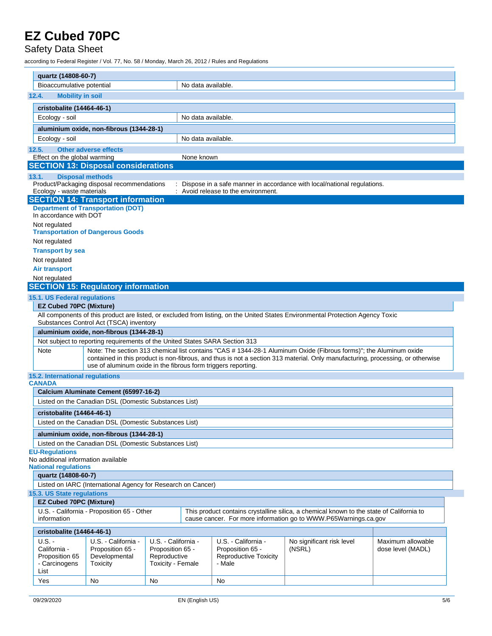#### Safety Data Sheet

| quartz (14808-60-7)                                          |                                                                                       |                                                                              |                    |                                                                                   |                                                                                                                                                                                                                                                     |                                        |
|--------------------------------------------------------------|---------------------------------------------------------------------------------------|------------------------------------------------------------------------------|--------------------|-----------------------------------------------------------------------------------|-----------------------------------------------------------------------------------------------------------------------------------------------------------------------------------------------------------------------------------------------------|----------------------------------------|
| Bioaccumulative potential                                    |                                                                                       |                                                                              |                    |                                                                                   |                                                                                                                                                                                                                                                     |                                        |
|                                                              |                                                                                       |                                                                              | No data available. |                                                                                   |                                                                                                                                                                                                                                                     |                                        |
| 12.4.<br><b>Mobility in soil</b>                             |                                                                                       |                                                                              |                    |                                                                                   |                                                                                                                                                                                                                                                     |                                        |
| cristobalite (14464-46-1)                                    |                                                                                       |                                                                              |                    |                                                                                   |                                                                                                                                                                                                                                                     |                                        |
| Ecology - soil                                               |                                                                                       |                                                                              | No data available. |                                                                                   |                                                                                                                                                                                                                                                     |                                        |
|                                                              | aluminium oxide, non-fibrous (1344-28-1)                                              |                                                                              |                    |                                                                                   |                                                                                                                                                                                                                                                     |                                        |
| Ecology - soil                                               |                                                                                       |                                                                              | No data available. |                                                                                   |                                                                                                                                                                                                                                                     |                                        |
| 12.5.                                                        | <b>Other adverse effects</b>                                                          |                                                                              |                    |                                                                                   |                                                                                                                                                                                                                                                     |                                        |
| Effect on the global warming                                 |                                                                                       |                                                                              | None known         |                                                                                   |                                                                                                                                                                                                                                                     |                                        |
|                                                              | <b>SECTION 13: Disposal considerations</b>                                            |                                                                              |                    |                                                                                   |                                                                                                                                                                                                                                                     |                                        |
| 13.1.                                                        | <b>Disposal methods</b><br>Product/Packaging disposal recommendations                 |                                                                              |                    |                                                                                   | Dispose in a safe manner in accordance with local/national regulations.                                                                                                                                                                             |                                        |
| Ecology - waste materials                                    |                                                                                       |                                                                              |                    | : Avoid release to the environment.                                               |                                                                                                                                                                                                                                                     |                                        |
|                                                              | <b>SECTION 14: Transport information</b><br><b>Department of Transportation (DOT)</b> |                                                                              |                    |                                                                                   |                                                                                                                                                                                                                                                     |                                        |
| In accordance with DOT                                       |                                                                                       |                                                                              |                    |                                                                                   |                                                                                                                                                                                                                                                     |                                        |
| Not regulated                                                | <b>Transportation of Dangerous Goods</b>                                              |                                                                              |                    |                                                                                   |                                                                                                                                                                                                                                                     |                                        |
| Not regulated                                                |                                                                                       |                                                                              |                    |                                                                                   |                                                                                                                                                                                                                                                     |                                        |
| <b>Transport by sea</b>                                      |                                                                                       |                                                                              |                    |                                                                                   |                                                                                                                                                                                                                                                     |                                        |
| Not regulated                                                |                                                                                       |                                                                              |                    |                                                                                   |                                                                                                                                                                                                                                                     |                                        |
| <b>Air transport</b>                                         |                                                                                       |                                                                              |                    |                                                                                   |                                                                                                                                                                                                                                                     |                                        |
| Not regulated                                                |                                                                                       |                                                                              |                    |                                                                                   |                                                                                                                                                                                                                                                     |                                        |
|                                                              | <b>SECTION 15: Regulatory information</b>                                             |                                                                              |                    |                                                                                   |                                                                                                                                                                                                                                                     |                                        |
| 15.1. US Federal regulations                                 |                                                                                       |                                                                              |                    |                                                                                   |                                                                                                                                                                                                                                                     |                                        |
| <b>EZ Cubed 70PC (Mixture)</b>                               |                                                                                       |                                                                              |                    |                                                                                   |                                                                                                                                                                                                                                                     |                                        |
|                                                              | Substances Control Act (TSCA) inventory                                               |                                                                              |                    |                                                                                   | All components of this product are listed, or excluded from listing, on the United States Environmental Protection Agency Toxic                                                                                                                     |                                        |
|                                                              | aluminium oxide, non-fibrous (1344-28-1)                                              |                                                                              |                    |                                                                                   |                                                                                                                                                                                                                                                     |                                        |
|                                                              | Not subject to reporting requirements of the United States SARA Section 313           |                                                                              |                    |                                                                                   |                                                                                                                                                                                                                                                     |                                        |
| Note                                                         | use of aluminum oxide in the fibrous form triggers reporting.                         |                                                                              |                    |                                                                                   | Note: The section 313 chemical list contains "CAS # 1344-28-1 Aluminum Oxide (Fibrous forms)"; the Aluminum oxide<br>contained in this product is non-fibrous, and thus is not a section 313 material. Only manufacturing, processing, or otherwise |                                        |
| 15.2. International regulations                              |                                                                                       |                                                                              |                    |                                                                                   |                                                                                                                                                                                                                                                     |                                        |
| <b>CANADA</b>                                                |                                                                                       |                                                                              |                    |                                                                                   |                                                                                                                                                                                                                                                     |                                        |
|                                                              | Calcium Aluminate Cement (65997-16-2)                                                 |                                                                              |                    |                                                                                   |                                                                                                                                                                                                                                                     |                                        |
|                                                              | Listed on the Canadian DSL (Domestic Substances List)                                 |                                                                              |                    |                                                                                   |                                                                                                                                                                                                                                                     |                                        |
| cristobalite (14464-46-1)                                    |                                                                                       |                                                                              |                    |                                                                                   |                                                                                                                                                                                                                                                     |                                        |
|                                                              | Listed on the Canadian DSL (Domestic Substances List)                                 |                                                                              |                    |                                                                                   |                                                                                                                                                                                                                                                     |                                        |
|                                                              | aluminium oxide, non-fibrous (1344-28-1)                                              |                                                                              |                    |                                                                                   |                                                                                                                                                                                                                                                     |                                        |
|                                                              | Listed on the Canadian DSL (Domestic Substances List)                                 |                                                                              |                    |                                                                                   |                                                                                                                                                                                                                                                     |                                        |
| <b>EU-Regulations</b><br>No additional information available |                                                                                       |                                                                              |                    |                                                                                   |                                                                                                                                                                                                                                                     |                                        |
| <b>National regulations</b>                                  |                                                                                       |                                                                              |                    |                                                                                   |                                                                                                                                                                                                                                                     |                                        |
| quartz (14808-60-7)                                          |                                                                                       |                                                                              |                    |                                                                                   |                                                                                                                                                                                                                                                     |                                        |
| 15.3. US State regulations                                   | Listed on IARC (International Agency for Research on Cancer)                          |                                                                              |                    |                                                                                   |                                                                                                                                                                                                                                                     |                                        |
| <b>EZ Cubed 70PC (Mixture)</b>                               |                                                                                       |                                                                              |                    |                                                                                   |                                                                                                                                                                                                                                                     |                                        |
|                                                              | U.S. - California - Proposition 65 - Other                                            |                                                                              |                    |                                                                                   | This product contains crystalline silica, a chemical known to the state of California to                                                                                                                                                            |                                        |
| information<br>cristobalite (14464-46-1)                     |                                                                                       |                                                                              |                    |                                                                                   | cause cancer. For more information go to WWW.P65Warnings.ca.gov                                                                                                                                                                                     |                                        |
| $U.S. -$                                                     |                                                                                       |                                                                              |                    |                                                                                   |                                                                                                                                                                                                                                                     |                                        |
| California -<br>Proposition 65<br>- Carcinogens              | U.S. - California -<br>Proposition 65 -<br>Developmental<br>Toxicity                  | U.S. - California -<br>Proposition 65 -<br>Reproductive<br>Toxicity - Female |                    | U.S. - California -<br>Proposition 65 -<br><b>Reproductive Toxicity</b><br>- Male | No significant risk level<br>(NSRL)                                                                                                                                                                                                                 | Maximum allowable<br>dose level (MADL) |
| List                                                         |                                                                                       |                                                                              |                    |                                                                                   |                                                                                                                                                                                                                                                     |                                        |
| Yes                                                          | No<br>No                                                                              |                                                                              | No                 |                                                                                   |                                                                                                                                                                                                                                                     |                                        |